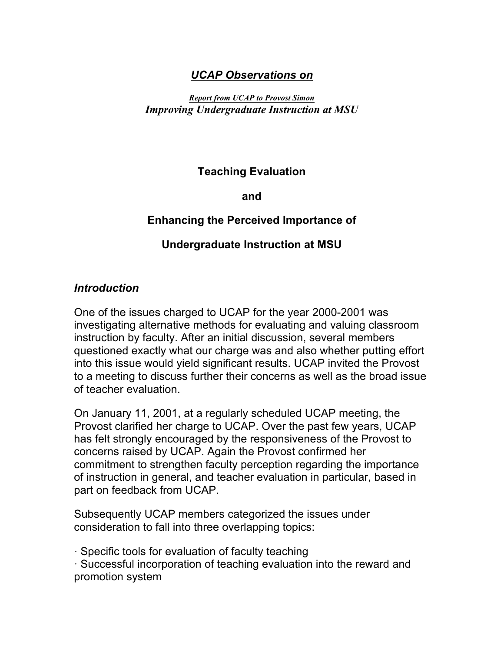### *UCAP Observations on*

#### *Report from UCAP to Provost Simon Improving Undergraduate Instruction at MSU*

## **Teaching Evaluation**

**and** 

## **Enhancing the Perceived Importance of**

## **Undergraduate Instruction at MSU**

#### *Introduction*

One of the issues charged to UCAP for the year 2000-2001 was investigating alternative methods for evaluating and valuing classroom instruction by faculty. After an initial discussion, several members questioned exactly what our charge was and also whether putting effort into this issue would yield significant results. UCAP invited the Provost to a meeting to discuss further their concerns as well as the broad issue of teacher evaluation.

On January 11, 2001, at a regularly scheduled UCAP meeting, the Provost clarified her charge to UCAP. Over the past few years, UCAP has felt strongly encouraged by the responsiveness of the Provost to concerns raised by UCAP. Again the Provost confirmed her commitment to strengthen faculty perception regarding the importance of instruction in general, and teacher evaluation in particular, based in part on feedback from UCAP.

Subsequently UCAP members categorized the issues under consideration to fall into three overlapping topics:

· Specific tools for evaluation of faculty teaching

· Successful incorporation of teaching evaluation into the reward and promotion system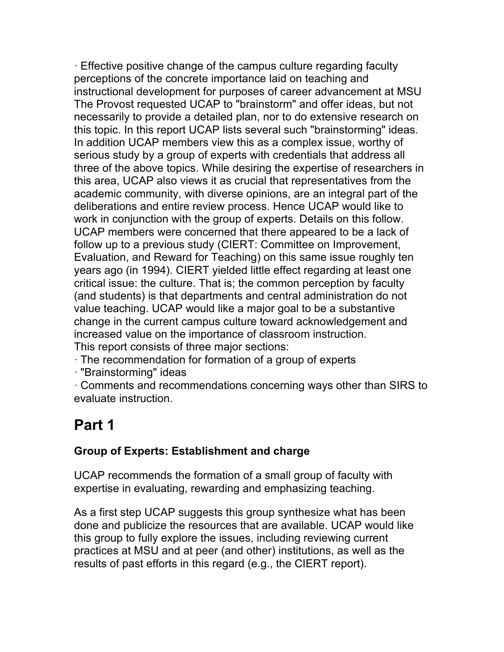· Effective positive change of the campus culture regarding faculty perceptions of the concrete importance laid on teaching and instructional development for purposes of career advancement at MSU The Provost requested UCAP to "brainstorm" and offer ideas, but not necessarily to provide a detailed plan, nor to do extensive research on this topic. In this report UCAP lists several such "brainstorming" ideas. In addition UCAP members view this as a complex issue, worthy of serious study by a group of experts with credentials that address all three of the above topics. While desiring the expertise of researchers in this area, UCAP also views it as crucial that representatives from the academic community, with diverse opinions, are an integral part of the deliberations and entire review process. Hence UCAP would like to work in conjunction with the group of experts. Details on this follow. UCAP members were concerned that there appeared to be a lack of follow up to a previous study (CIERT: Committee on Improvement, Evaluation, and Reward for Teaching) on this same issue roughly ten years ago (in 1994). CIERT yielded little effect regarding at least one critical issue: the culture. That is; the common perception by faculty (and students) is that departments and central administration do not value teaching. UCAP would like a major goal to be a substantive change in the current campus culture toward acknowledgement and increased value on the importance of classroom instruction. This report consists of three major sections:

· The recommendation for formation of a group of experts

· "Brainstorming" ideas

· Comments and recommendations concerning ways other than SIRS to evaluate instruction.

# **Part 1**

# **Group of Experts: Establishment and charge**

UCAP recommends the formation of a small group of faculty with expertise in evaluating, rewarding and emphasizing teaching.

As a first step UCAP suggests this group synthesize what has been done and publicize the resources that are available. UCAP would like this group to fully explore the issues, including reviewing current practices at MSU and at peer (and other) institutions, as well as the results of past efforts in this regard (e.g., the CIERT report).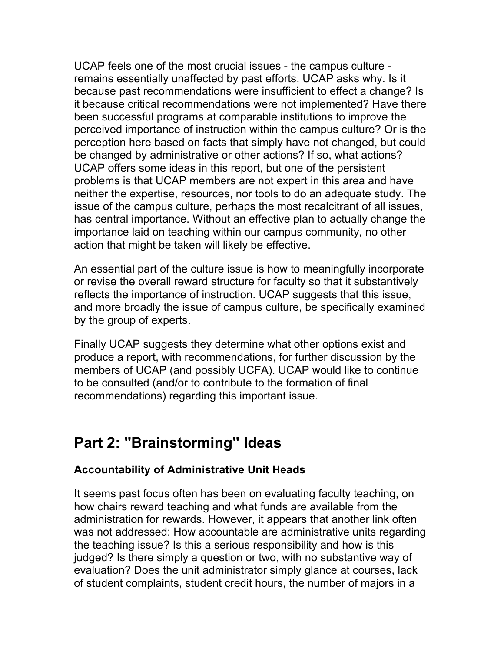UCAP feels one of the most crucial issues - the campus culture remains essentially unaffected by past efforts. UCAP asks why. Is it because past recommendations were insufficient to effect a change? Is it because critical recommendations were not implemented? Have there been successful programs at comparable institutions to improve the perceived importance of instruction within the campus culture? Or is the perception here based on facts that simply have not changed, but could be changed by administrative or other actions? If so, what actions? UCAP offers some ideas in this report, but one of the persistent problems is that UCAP members are not expert in this area and have neither the expertise, resources, nor tools to do an adequate study. The issue of the campus culture, perhaps the most recalcitrant of all issues, has central importance. Without an effective plan to actually change the importance laid on teaching within our campus community, no other action that might be taken will likely be effective.

An essential part of the culture issue is how to meaningfully incorporate or revise the overall reward structure for faculty so that it substantively reflects the importance of instruction. UCAP suggests that this issue, and more broadly the issue of campus culture, be specifically examined by the group of experts.

Finally UCAP suggests they determine what other options exist and produce a report, with recommendations, for further discussion by the members of UCAP (and possibly UCFA). UCAP would like to continue to be consulted (and/or to contribute to the formation of final recommendations) regarding this important issue.

# **Part 2: "Brainstorming" Ideas**

# **Accountability of Administrative Unit Heads**

It seems past focus often has been on evaluating faculty teaching, on how chairs reward teaching and what funds are available from the administration for rewards. However, it appears that another link often was not addressed: How accountable are administrative units regarding the teaching issue? Is this a serious responsibility and how is this judged? Is there simply a question or two, with no substantive way of evaluation? Does the unit administrator simply glance at courses, lack of student complaints, student credit hours, the number of majors in a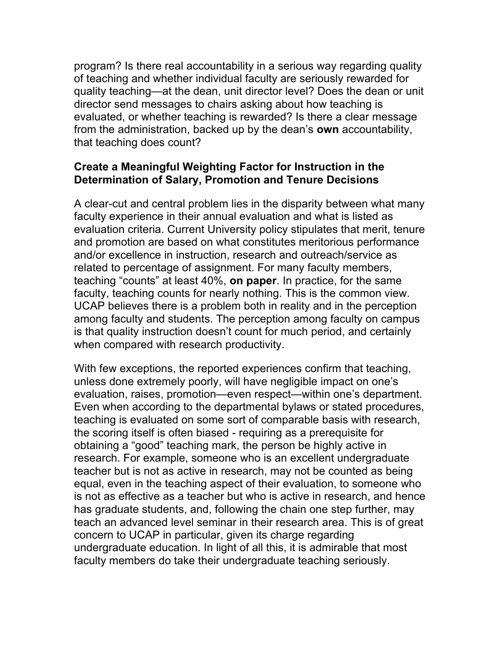program? Is there real accountability in a serious way regarding quality of teaching and whether individual faculty are seriously rewarded for quality teaching—at the dean, unit director level? Does the dean or unit director send messages to chairs asking about how teaching is evaluated, or whether teaching is rewarded? Is there a clear message from the administration, backed up by the dean's **own** accountability, that teaching does count?

#### **Create a Meaningful Weighting Factor for Instruction in the Determination of Salary, Promotion and Tenure Decisions**

A clear-cut and central problem lies in the disparity between what many faculty experience in their annual evaluation and what is listed as evaluation criteria. Current University policy stipulates that merit, tenure and promotion are based on what constitutes meritorious performance and/or excellence in instruction, research and outreach/service as related to percentage of assignment. For many faculty members, teaching "counts" at least 40%, **on paper**. In practice, for the same faculty, teaching counts for nearly nothing. This is the common view. UCAP believes there is a problem both in reality and in the perception among faculty and students. The perception among faculty on campus is that quality instruction doesn't count for much period, and certainly when compared with research productivity.

With few exceptions, the reported experiences confirm that teaching, unless done extremely poorly, will have negligible impact on one's evaluation, raises, promotion—even respect—within one's department. Even when according to the departmental bylaws or stated procedures, teaching is evaluated on some sort of comparable basis with research, the scoring itself is often biased - requiring as a prerequisite for obtaining a "good" teaching mark, the person be highly active in research. For example, someone who is an excellent undergraduate teacher but is not as active in research, may not be counted as being equal, even in the teaching aspect of their evaluation, to someone who is not as effective as a teacher but who is active in research, and hence has graduate students, and, following the chain one step further, may teach an advanced level seminar in their research area. This is of great concern to UCAP in particular, given its charge regarding undergraduate education. In light of all this, it is admirable that most faculty members do take their undergraduate teaching seriously.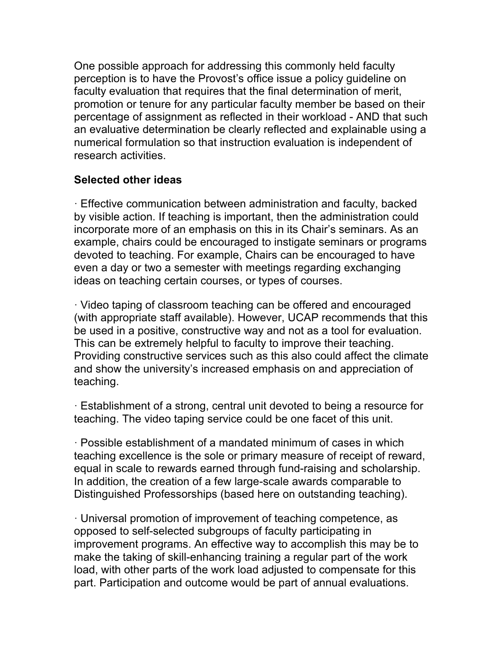One possible approach for addressing this commonly held faculty perception is to have the Provost's office issue a policy guideline on faculty evaluation that requires that the final determination of merit, promotion or tenure for any particular faculty member be based on their percentage of assignment as reflected in their workload - AND that such an evaluative determination be clearly reflected and explainable using a numerical formulation so that instruction evaluation is independent of research activities.

### **Selected other ideas**

· Effective communication between administration and faculty, backed by visible action. If teaching is important, then the administration could incorporate more of an emphasis on this in its Chair's seminars. As an example, chairs could be encouraged to instigate seminars or programs devoted to teaching. For example, Chairs can be encouraged to have even a day or two a semester with meetings regarding exchanging ideas on teaching certain courses, or types of courses.

· Video taping of classroom teaching can be offered and encouraged (with appropriate staff available). However, UCAP recommends that this be used in a positive, constructive way and not as a tool for evaluation. This can be extremely helpful to faculty to improve their teaching. Providing constructive services such as this also could affect the climate and show the university's increased emphasis on and appreciation of teaching.

· Establishment of a strong, central unit devoted to being a resource for teaching. The video taping service could be one facet of this unit.

· Possible establishment of a mandated minimum of cases in which teaching excellence is the sole or primary measure of receipt of reward, equal in scale to rewards earned through fund-raising and scholarship. In addition, the creation of a few large-scale awards comparable to Distinguished Professorships (based here on outstanding teaching).

· Universal promotion of improvement of teaching competence, as opposed to self-selected subgroups of faculty participating in improvement programs. An effective way to accomplish this may be to make the taking of skill-enhancing training a regular part of the work load, with other parts of the work load adjusted to compensate for this part. Participation and outcome would be part of annual evaluations.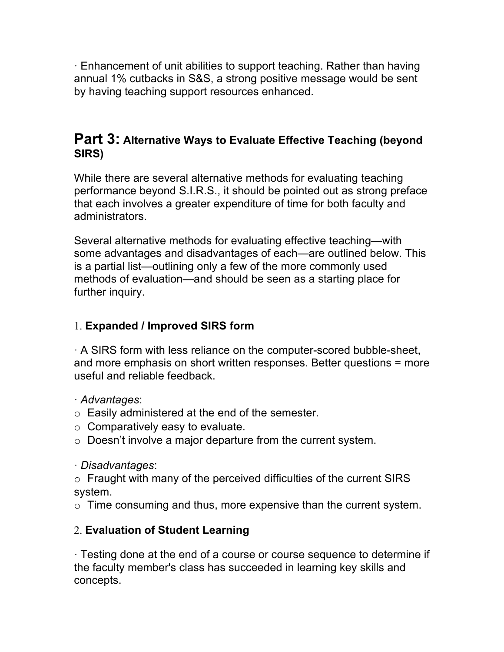· Enhancement of unit abilities to support teaching. Rather than having annual 1% cutbacks in S&S, a strong positive message would be sent by having teaching support resources enhanced.

# **Part 3: Alternative Ways to Evaluate Effective Teaching (beyond SIRS)**

While there are several alternative methods for evaluating teaching performance beyond S.I.R.S., it should be pointed out as strong preface that each involves a greater expenditure of time for both faculty and administrators.

Several alternative methods for evaluating effective teaching—with some advantages and disadvantages of each—are outlined below. This is a partial list—outlining only a few of the more commonly used methods of evaluation—and should be seen as a starting place for further inquiry.

## 1. **Expanded / Improved SIRS form**

· A SIRS form with less reliance on the computer-scored bubble-sheet, and more emphasis on short written responses. Better questions = more useful and reliable feedback.

· *Advantages*:

- o Easily administered at the end of the semester.
- $\circ$  Comparatively easy to evaluate.
- $\circ$  Doesn't involve a major departure from the current system.

· *Disadvantages*:

o Fraught with many of the perceived difficulties of the current SIRS system.

o Time consuming and thus, more expensive than the current system.

## 2. **Evaluation of Student Learning**

· Testing done at the end of a course or course sequence to determine if the faculty member's class has succeeded in learning key skills and concepts.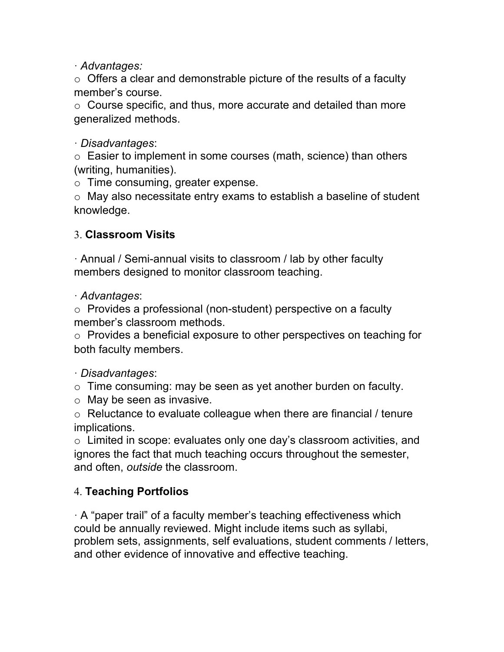· *Advantages:*

 $\circ$  Offers a clear and demonstrable picture of the results of a faculty member's course.

o Course specific, and thus, more accurate and detailed than more generalized methods.

· *Disadvantages*:

o Easier to implement in some courses (math, science) than others (writing, humanities).

o Time consuming, greater expense.

 $\circ$  May also necessitate entry exams to establish a baseline of student knowledge.

# 3. **Classroom Visits**

· Annual / Semi-annual visits to classroom / lab by other faculty members designed to monitor classroom teaching.

· *Advantages*:

o Provides a professional (non-student) perspective on a faculty member's classroom methods.

o Provides a beneficial exposure to other perspectives on teaching for both faculty members.

## · *Disadvantages*:

o Time consuming: may be seen as yet another burden on faculty.

 $\circ$  May be seen as invasive.

 $\circ$  Reluctance to evaluate colleague when there are financial / tenure implications.

 $\circ$  Limited in scope: evaluates only one day's classroom activities, and ignores the fact that much teaching occurs throughout the semester, and often, *outside* the classroom.

# 4. **Teaching Portfolios**

 $\cdot$  A "paper trail" of a faculty member's teaching effectiveness which could be annually reviewed. Might include items such as syllabi, problem sets, assignments, self evaluations, student comments / letters, and other evidence of innovative and effective teaching.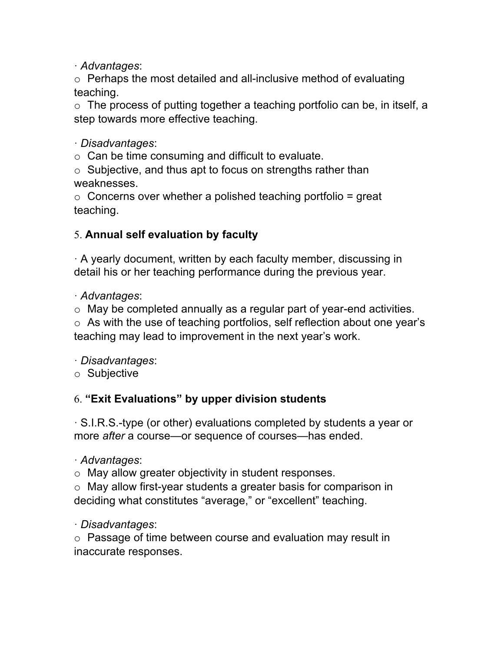· *Advantages*:

o Perhaps the most detailed and all-inclusive method of evaluating teaching.

o The process of putting together a teaching portfolio can be, in itself, a step towards more effective teaching.

· *Disadvantages*:

 $\circ$  Can be time consuming and difficult to evaluate.

o Subjective, and thus apt to focus on strengths rather than weaknesses.

 $\circ$  Concerns over whether a polished teaching portfolio = great teaching.

# 5. **Annual self evaluation by faculty**

· A yearly document, written by each faculty member, discussing in detail his or her teaching performance during the previous year.

· *Advantages*:

o May be completed annually as a regular part of year-end activities.

o As with the use of teaching portfolios, self reflection about one year's teaching may lead to improvement in the next year's work.

· *Disadvantages*:

o Subjective

# 6. **"Exit Evaluations" by upper division students**

· S.I.R.S.-type (or other) evaluations completed by students a year or more *after* a course—or sequence of courses—has ended.

· *Advantages*:

o May allow greater objectivity in student responses.

o May allow first-year students a greater basis for comparison in deciding what constitutes "average," or "excellent" teaching.

· *Disadvantages*:

o Passage of time between course and evaluation may result in inaccurate responses.